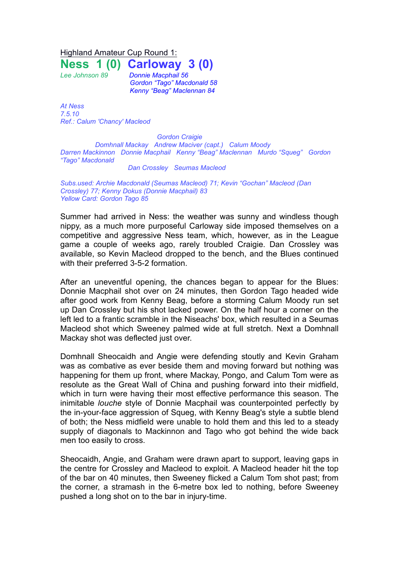Highland Amateur Cup Round 1:

**Ness 1 (0) Carloway 3 (0)**

*Lee Johnson 89 Donnie Macphail 56 Gordon "Tago" Macdonald 58 Kenny "Beag" Maclennan 84*

*At Ness 7.5.10 Ref.: Calum 'Chancy' Macleod*

*Gordon Craigie Domhnall Mackay Andrew Maciver (capt.) Calum Moody Darren Mackinnon Donnie Macphail Kenny "Beag" Maclennan Murdo "Squeg" Gordon "Tago" Macdonald*

*Dan Crossley Seumas Macleod*

*Subs.used: Archie Macdonald (Seumas Macleod) 71; Kevin "Gochan" Macleod (Dan Crossley) 77; Kenny Dokus (Donnie Macphail) 83 Yellow Card: Gordon Tago 85*

Summer had arrived in Ness: the weather was sunny and windless though nippy, as a much more purposeful Carloway side imposed themselves on a competitive and aggressive Ness team, which, however, as in the League game a couple of weeks ago, rarely troubled Craigie. Dan Crossley was available, so Kevin Macleod dropped to the bench, and the Blues continued with their preferred 3-5-2 formation.

After an uneventful opening, the chances began to appear for the Blues: Donnie Macphail shot over on 24 minutes, then Gordon Tago headed wide after good work from Kenny Beag, before a storming Calum Moody run set up Dan Crossley but his shot lacked power. On the half hour a corner on the left led to a frantic scramble in the Niseachs' box, which resulted in a Seumas Macleod shot which Sweeney palmed wide at full stretch. Next a Domhnall Mackay shot was deflected just over.

Domhnall Sheocaidh and Angie were defending stoutly and Kevin Graham was as combative as ever beside them and moving forward but nothing was happening for them up front, where Mackay, Pongo, and Calum Tom were as resolute as the Great Wall of China and pushing forward into their midfield, which in turn were having their most effective performance this season. The inimitable *louche* style of Donnie Macphail was counterpointed perfectly by the in-your-face aggression of Squeg, with Kenny Beag's style a subtle blend of both; the Ness midfield were unable to hold them and this led to a steady supply of diagonals to Mackinnon and Tago who got behind the wide back men too easily to cross.

Sheocaidh, Angie, and Graham were drawn apart to support, leaving gaps in the centre for Crossley and Macleod to exploit. A Macleod header hit the top of the bar on 40 minutes, then Sweeney flicked a Calum Tom shot past; from the corner, a stramash in the 6-metre box led to nothing, before Sweeney pushed a long shot on to the bar in injury-time.